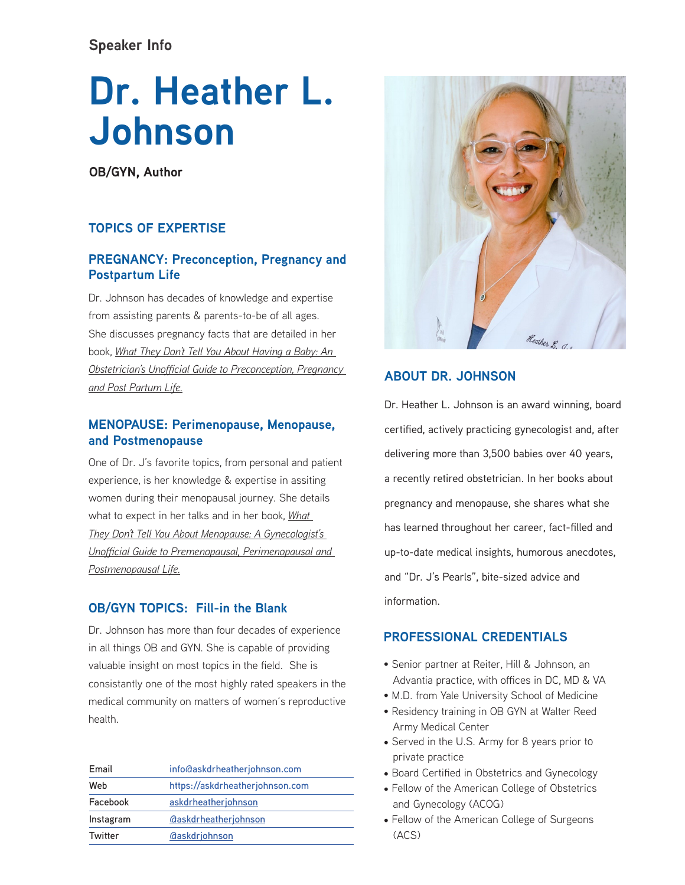# **Speaker Info**

# **Dr. Heather L. Johnson**

**OB/GYN, Author**

# **TOPICS OF EXPERTISE**

# **PREGNANCY: Preconception, Pregnancy and Postpartum Life**

Dr. Johnson has decades of knowledge and expertise from assisting parents & parents-to-be of all ages. She discusses pregnancy facts that are detailed in her book, *What They Don't Tell You About Having a Baby: An Obstetrician's Unofficial Guide to Preconception, Pregnancy and Post Partum Life.*

## **MENOPAUSE: Perimenopause, Menopause, and Postmenopause**

One of Dr. J's favorite topics, from personal and patient experience, is her knowledge & expertise in assiting women during their menopausal journey. She details what to expect in her talks and in her book, *What They Don't Tell You About Menopause: A Gynecologist's Unofficial Guide to Premenopausal, Perimenopausal and Postmenopausal Life.*

### **OB/GYN TOPICS: Fill-in the Blank**

Dr. Johnson has more than four decades of experience in all things OB and GYN. She is capable of providing valuable insight on most topics in the field. She is consistantly one of the most highly rated speakers in the medical community on matters of women's reproductive health.

| Email     | info@askdrheatherjohnson.com             |
|-----------|------------------------------------------|
| Web       | https://askdrheatherjohnson.com          |
| Facebook  | askdrheatherjohnson                      |
| Instagram | <b><i><u>askdrheatherjohnson</u></i></b> |
| Twitter   | <b><i><u>Gaskdriohnson</u></i></b>       |



# **ABOUT DR. JOHNSON**

Dr. Heather L. Johnson is an award winning, board certified, actively practicing gynecologist and, after delivering more than 3,500 babies over 40 years, a recently retired obstetrician. In her books about pregnancy and menopause, she shares what she has learned throughout her career, fact-filled and up-to-date medical insights, humorous anecdotes, and "Dr. J's Pearls", bite-sized advice and information.

### **PROFESSIONAL CREDENTIALS**

- Senior partner at Reiter, Hill & Johnson, an Advantia practice, with offices in DC, MD & VA
- M.D. from Yale University School of Medicine
- Residency training in OB GYN at Walter Reed Army Medical Center
- Served in the U.S. Army for 8 years prior to private practice
- Board Certified in Obstetrics and Gynecology
- Fellow of the American College of Obstetrics and Gynecology (ACOG)
- Fellow of the American College of Surgeons (ACS)